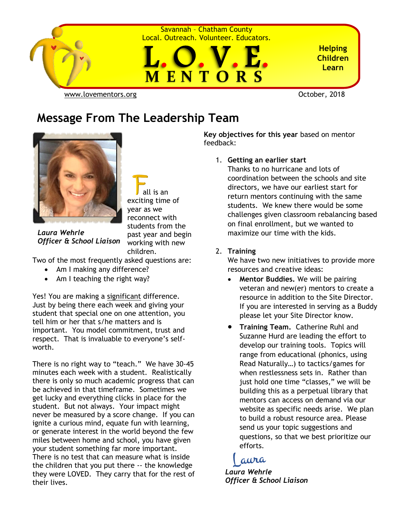

#### **Message From The Leadership Team**



*Officer & School Liaison*

*Laura Wehrle*

 all is an exciting time of year as we reconnect with students from the past year and begin working with new children.

Two of the most frequently asked questions are:

- Am I making any difference?
- Am I teaching the right way?

Yes! You are making a significant difference. Just by being there each week and giving your student that special one on one attention, you tell him or her that s/he matters and is important. You model commitment, trust and respect. That is invaluable to everyone's selfworth.

There is no right way to "teach." We have 30-45 minutes each week with a student. Realistically there is only so much academic progress that can be achieved in that timeframe. Sometimes we get lucky and everything clicks in place for the student. But not always. Your impact might never be measured by a score change. If you can ignite a curious mind, equate fun with learning, or generate interest in the world beyond the few miles between home and school, you have given your student something far more important. There is no test that can measure what is inside the children that you put there -- the knowledge they were LOVED. They carry that for the rest of their lives.

**Key objectives for this year** based on mentor feedback:

1. **Getting an earlier start**

Thanks to no hurricane and lots of coordination between the schools and site directors, we have our earliest start for return mentors continuing with the same students. We knew there would be some challenges given classroom rebalancing based on final enrollment, but we wanted to maximize our time with the kids.

#### 2. **Training**

We have two new initiatives to provide more resources and creative ideas:

- **Mentor Buddies.** We will be pairing veteran and new(er) mentors to create a resource in addition to the Site Director. If you are interested in serving as a Buddy please let your Site Director know.
- **Training Team.** Catherine Ruhl and Suzanne Hurd are leading the effort to develop our training tools. Topics will range from educational (phonics, using Read Naturally…) to tactics/games for when restlessness sets in. Rather than just hold one time "classes," we will be building this as a perpetual library that mentors can access on demand via our website as specific needs arise. We plan to build a robust resource area. Please send us your topic suggestions and questions, so that we best prioritize our efforts.

#### aura

*Laura Wehrle Officer & School Liaison*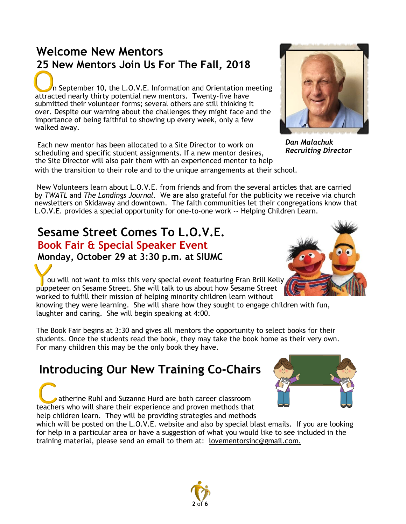## **Welcome New Mentors 25 New Mentors Join Us For The Fall, 2018**

 n September 10, the L.O.V.E. Information and Orientation meeting attracted nearly thirty potential new mentors. Twenty-five have submitted their volunteer forms; several others are still thinking it over. Despite our warning about the challenges they might face and the importance of being faithful to showing up every week, only a few walked away.

Each new mentor has been allocated to a Site Director to work on scheduling and specific student assignments. If a new mentor desires, the Site Director will also pair them with an experienced mentor to help with the transition to their role and to the unique arrangements at their school.

New Volunteers learn about L.O.V.E. from friends and from the several articles that are carried by *TWATL* and *The Landings Journal*. We are also grateful for the publicity we receive via church newsletters on Skidaway and downtown. The faith communities let their congregations know that L.O.V.E. provides a special opportunity for one-to-one work -- Helping Children Learn.

#### **Sesame Street Comes To L.O.V.E. Book Fair & Special Speaker Event**

**Monday, October 29 at 3:30 p.m. at SIUMC**

ou will not want to miss this very special event featuring Fran Brill Kelly puppeteer on Sesame Street. She will talk to us about how Sesame Street worked to fulfill their mission of helping minority children learn without

knowing they were learning. She will share how they sought to engage children with fun, laughter and caring. She will begin speaking at 4:00.

The Book Fair begins at 3:30 and gives all mentors the opportunity to select books for their students. Once the students read the book, they may take the book home as their very own. For many children this may be the only book they have.

## **Introducing Our New Training Co-Chairs**

 atherine Ruhl and Suzanne Hurd are both career classroom teachers who will share their experience and proven methods that help children learn. They will be providing strategies and methods

which will be posted on the L.O.V.E. website and also by special blast emails. If you are looking for help in a particular area or have a suggestion of what you would like to see included in the training material, please send an email to them at: [lovementorsinc@gmail.com.](mailto:lovementorsinc@gmail.com)

*Dan Malachuk Recruiting Director*







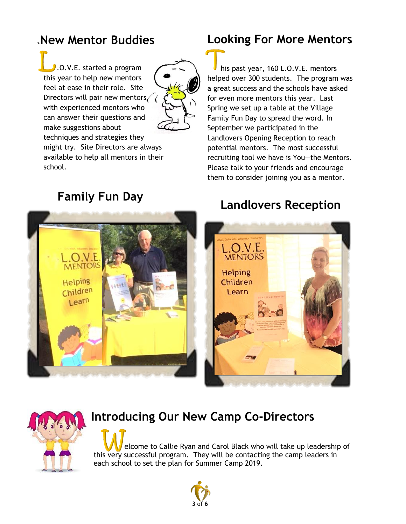#### **New Mentor Buddies**

 .O.V.E. started a program this year to help new mentors feel at ease in their role. Site Directors will pair new mentors  $\sqrt{\sqrt{2}}$ with experienced mentors who can answer their questions and make suggestions about techniques and strategies they



might try. Site Directors are always available to help all mentors in their school.



#### **Looking For More Mentors**

 his past year, 160 L.O.V.E. mentors helped over 300 students. The program was a great success and the schools have asked for even more mentors this year. Last Spring we set up a table at the Village Family Fun Day to spread the word. In September we participated in the Landlovers Opening Reception to reach potential mentors. The most successful recruiting tool we have is You—the Mentors. Please talk to your friends and encourage them to consider joining you as a mentor.

# **Landlovers Reception Family Fun Day**





#### **Introducing Our New Camp Co-Directors**

 elcome to Callie Ryan and Carol Black who will take up leadership of this very successful program. They will be contacting the camp leaders in each school to set the plan for Summer Camp 2019.

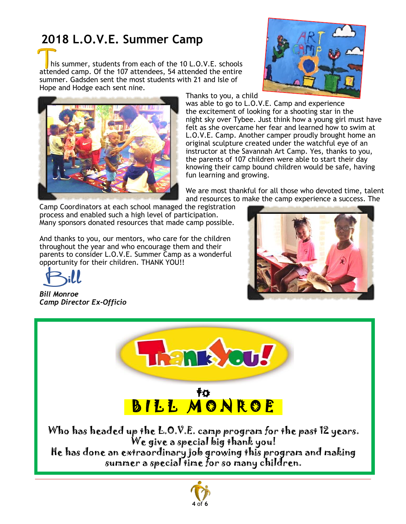## **2018 L.O.V.E. Summer Camp**

 his summer, students from each of the 10 L.O.V.E. schools attended camp. Of the 107 attendees, 54 attended the entire summer. Gadsden sent the most students with 21 and Isle of Hope and Hodge each sent nine.





Thanks to you, a child

was able to go to L.O.V.E. Camp and experience the excitement of looking for a shooting star in the night sky over Tybee. Just think how a young girl must have felt as she overcame her fear and learned how to swim at L.O.V.E. Camp. Another camper proudly brought home an original sculpture created under the watchful eye of an instructor at the Savannah Art Camp. Yes, thanks to you, the parents of 107 children were able to start their day knowing their camp bound children would be safe, having fun learning and growing.

We are most thankful for all those who devoted time, talent and resources to make the camp experience a success. The

Camp Coordinators at each school managed the registration process and enabled such a high level of participation. Many sponsors donated resources that made camp possible.

And thanks to you, our mentors, who care for the children throughout the year and who encourage them and their parents to consider L.O.V.E. Summer Camp as a wonderful opportunity for their children. THANK YOU!!

*Bill Monroe Camp Director Ex-Officio*





to BILL MONROE

Who has headed up the L.O.V.E. camp program for the past 12 years. We give a special big thank you!

He has done an extraordinary job growing this program and making summer a special time for so many children.

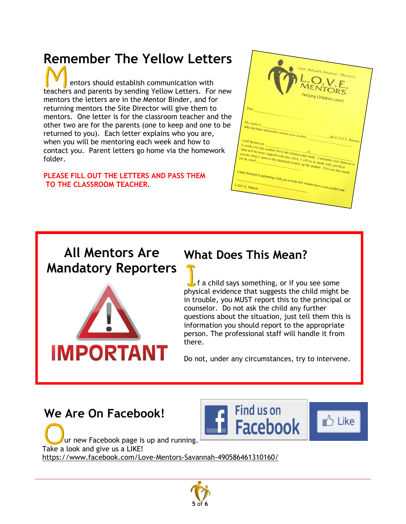## **Remember The Yellow Letters**

 entors should establish communication with teachers and parents by sending Yellow Letters. For new mentors the letters are in the Mentor Binder, and for returning mentors the Site Director will give them to mentors. One letter is for the classroom teacher and the other two are for the parents (one to keep and one to be returned to you). Each letter explains who you are, when you will be mentoring each week and how to contact you. Parent letters go home via the homework folder.

#### **PLEASE FILL OUT THE LETTERS AND PASS THEM TO THE CLASSROOM TEACHER.**



#### **All Mentors Are Mandatory Reporters**



#### **What Does This Mean?**

 $\triangleright$  f a child says something, or if you see some physical evidence that suggests the child might be in trouble, you MUST report this to the principal or counselor. Do not ask the child any further questions about the situation, just tell them this is information you should report to the appropriate person. The professional staff will handle it from there.

Do not, under any circumstances, try to intervene.

#### **We Are On Facebook!**

ur new Facebook page is up and running. Take a look and give us a LIKE! <https://www.facebook.com/Love-Mentors-Savannah-490586461310160/>